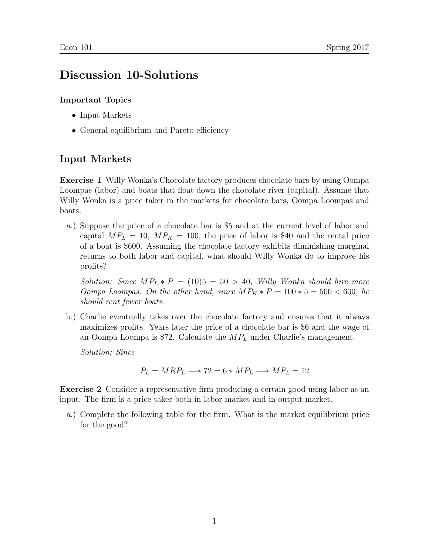## Discussion 10-Solutions

## Important Topics

- Input Markets
- General equilibrium and Pareto efficiency

## Input Markets

Exercise 1 Willy Wonka's Chocolate factory produces chocolate bars by using Oompa Loompas (labor) and boats that float down the chocolate river (capital). Assume that Willy Wonka is a price taker in the markets for chocolate bars, Oompa Loompas and boats.

a.) Suppose the price of a chocolate bar is \$5 and at the current level of labor and capital  $MP_L = 10$ ,  $MP_K = 100$ , the price of labor is \$40 and the rental price of a boat is \$600. Assuming the chocolate factory exhibits diminishing marginal returns to both labor and capital, what should Willy Wonka do to improve his profits?

Solution: Since  $MP_L * P = (10)5 = 50 > 40$ , Willy Wonka should hire more Oompa Loompas. On the other hand, since  $MP_K * P = 100 * 5 = 500 < 600$ , he should rent fewer boats.

b.) Charlie eventually takes over the chocolate factory and ensures that it always maximizes profits. Years later the price of a chocolate bar is \$6 and the wage of an Oompa Loompa is \$72. Calculate the  $MP_L$  under Charlie's management.

Solution: Since

$$
P_L = MRP_L \longrightarrow 72 = 6 * MP_L \longrightarrow MP_L = 12
$$

Exercise 2 Consider a representative firm producing a certain good using labor as an input. The firm is a price taker both in labor market and in output market.

a.) Complete the following table for the firm. What is the market equilibrium price for the good?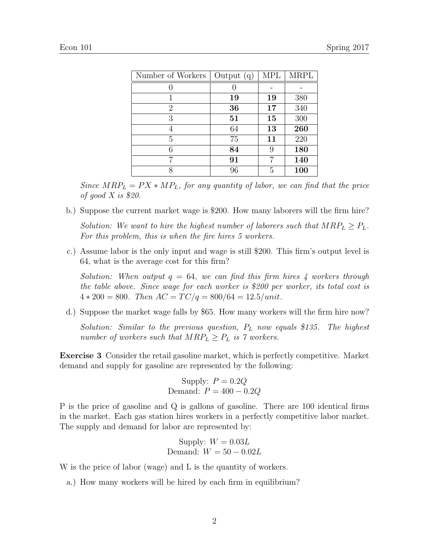| Number of Workers | Output $(q)$ | <b>MPL</b> | <b>MRPL</b> |
|-------------------|--------------|------------|-------------|
|                   |              |            |             |
| 1                 | 19           | 19         | 380         |
| 2                 | 36           | 17         | 340         |
| 3                 | 51           | 15         | 300         |
|                   | 64           | 13         | 260         |
| 5                 | 75           | 11         | 220         |
| 6                 | 84           | 9          | 180         |
|                   | 91           |            | 140         |
| Ջ                 | 96           | 5          | 100         |

Since  $MRP_L = PX * MP_L$ , for any quantity of labor, we can find that the price of good X is \$20.

- b.) Suppose the current market wage is \$200. How many laborers will the firm hire? Solution: We want to hire the highest number of laborers such that  $MRP_L \geq P_L$ . For this problem, this is when the fire hires 5 workers.
- c.) Assume labor is the only input and wage is still \$200. This firm's output level is 64, what is the average cost for this firm?

Solution: When output  $q = 64$ , we can find this firm hires 4 workers through the table above. Since wage for each worker is \$200 per worker, its total cost is  $4 * 200 = 800$ . Then  $AC = TC/q = 800/64 = 12.5/unit$ .

d.) Suppose the market wage falls by \$65. How many workers will the firm hire now?

Solution: Similar to the previous question,  $P_L$  now equals \$135. The highest number of workers such that  $MRP_L \geq P_L$  is 7 workers.

Exercise 3 Consider the retail gasoline market, which is perfectly competitive. Market demand and supply for gasoline are represented by the following:

> Supply:  $P = 0.2Q$ Demand:  $P = 400 - 0.2Q$

P is the price of gasoline and Q is gallons of gasoline. There are 100 identical firms in the market. Each gas station hires workers in a perfectly competitive labor market. The supply and demand for labor are represented by:

> Supply:  $W = 0.03L$ Demand:  $W = 50 - 0.02L$

W is the price of labor (wage) and L is the quantity of workers.

a.) How many workers will be hired by each firm in equilibrium?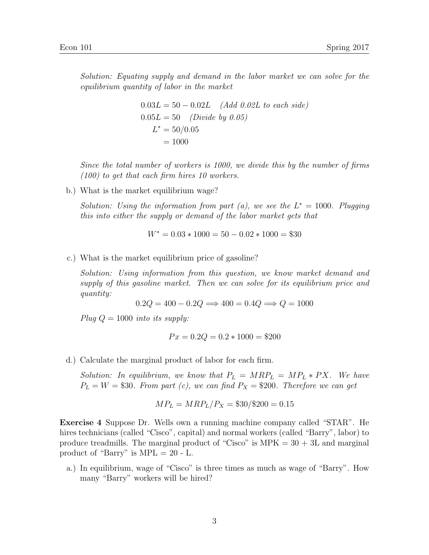Solution: Equating supply and demand in the labor market we can solve for the equilibrium quantity of labor in the market

$$
0.03L = 50 - 0.02L
$$
 (Add 0.02L to each side)  
 
$$
0.05L = 50
$$
 (Divide by 0.05)  
 
$$
L^* = 50/0.05
$$
  
 
$$
= 1000
$$

Since the total number of workers is 1000, we divide this by the number of firms (100) to get that each firm hires 10 workers.

b.) What is the market equilibrium wage?

Solution: Using the information from part (a), we see the  $L^* = 1000$ . Plugging this into either the supply or demand of the labor market gets that

 $W^* = 0.03 * 1000 = 50 - 0.02 * 1000 = $30$ 

c.) What is the market equilibrium price of gasoline?

Solution: Using information from this question, we know market demand and supply of this gasoline market. Then we can solve for its equilibrium price and quantity:

 $0.2Q = 400 - 0.2Q \Longrightarrow 400 = 0.4Q \Longrightarrow Q = 1000$ 

Plug  $Q = 1000$  into its supply:

$$
Px = 0.2Q = 0.2 * 1000 = $200
$$

d.) Calculate the marginal product of labor for each firm.

Solution: In equilibrium, we know that  $P_L = M R P_L = M P_L * P X$ . We have  $P_L = W = $30$ . From part (c), we can find  $P_X = $200$ . Therefore we can get

$$
MP_L = MRP_L/P_X = \$30/\$200 = 0.15
$$

Exercise 4 Suppose Dr. Wells own a running machine company called "STAR". He hires technicians (called "Cisco", capital) and normal workers (called "Barry", labor) to produce treadmills. The marginal product of "Cisco" is  $MPK = 30 + 3L$  and marginal product of "Barry" is  $MPL = 20 - L$ .

a.) In equilibrium, wage of "Cisco" is three times as much as wage of "Barry". How many "Barry" workers will be hired?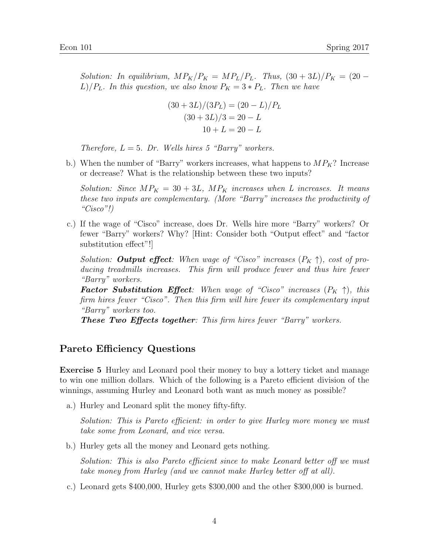Solution: In equilibrium,  $MP_K/P_K = MP_L/P_L$ . Thus,  $(30 + 3L)/P_K = (20 L$ / $P_L$ . In this question, we also know  $P_K = 3 * P_L$ . Then we have

$$
(30+3L)/(3PL) = (20 – L)/PL
$$

$$
(30+3L)/3 = 20 – L
$$

$$
10+L = 20 – L
$$

Therefore,  $L = 5$ . Dr. Wells hires 5 "Barry" workers.

b.) When the number of "Barry" workers increases, what happens to  $MP_K$ ? Increase or decrease? What is the relationship between these two inputs?

Solution: Since  $MP_K = 30 + 3L$ ,  $MP_K$  increases when L increases. It means these two inputs are complementary. (More "Barry" increases the productivity of "Cisco"!)

c.) If the wage of "Cisco" increase, does Dr. Wells hire more "Barry" workers? Or fewer "Barry" workers? Why? [Hint: Consider both "Output effect" and "factor substitution effect"!]

Solution: **Output effect**: When wage of "Cisco" increases  $(P_K \uparrow)$ , cost of producing treadmills increases. This firm will produce fewer and thus hire fewer "Barry" workers.

**Factor Substitution Effect**: When wage of "Cisco" increases  $(P_K \uparrow)$ , this firm hires fewer "Cisco". Then this firm will hire fewer its complementary input "Barry" workers too.

These Two Effects together: This firm hires fewer "Barry" workers.

## Pareto Efficiency Questions

Exercise 5 Hurley and Leonard pool their money to buy a lottery ticket and manage to win one million dollars. Which of the following is a Pareto efficient division of the winnings, assuming Hurley and Leonard both want as much money as possible?

a.) Hurley and Leonard split the money fifty-fifty.

Solution: This is Pareto efficient: in order to give Hurley more money we must take some from Leonard, and vice versa.

b.) Hurley gets all the money and Leonard gets nothing.

Solution: This is also Pareto efficient since to make Leonard better off we must take money from Hurley (and we cannot make Hurley better off at all).

c.) Leonard gets \$400,000, Hurley gets \$300,000 and the other \$300,000 is burned.